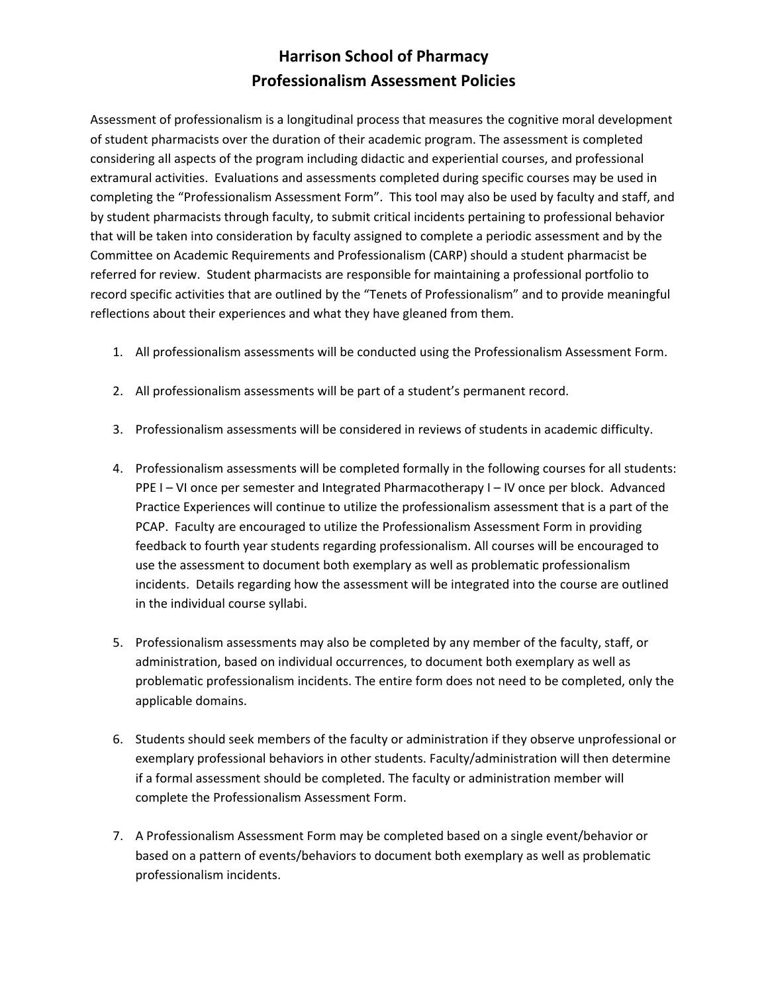## **Harrison School of Pharmacy Professionalism Assessment Policies**

Assessment of professionalism is a longitudinal process that measures the cognitive moral development of student pharmacists over the duration of their academic program. The assessment is completed considering all aspects of the program including didactic and experiential courses, and professional extramural activities. Evaluations and assessments completed during specific courses may be used in completing the "Professionalism Assessment Form". This tool may also be used by faculty and staff, and by student pharmacists through faculty, to submit critical incidents pertaining to professional behavior that will be taken into consideration by faculty assigned to complete a periodic assessment and by the Committee on Academic Requirements and Professionalism (CARP) should a student pharmacist be referred for review. Student pharmacists are responsible for maintaining a professional portfolio to record specific activities that are outlined by the "Tenets of Professionalism" and to provide meaningful reflections about their experiences and what they have gleaned from them.

- 1. All professionalism assessments will be conducted using the Professionalism Assessment Form.
- 2. All professionalism assessments will be part of a student's permanent record.
- 3. Professionalism assessments will be considered in reviews of students in academic difficulty.
- 4. Professionalism assessments will be completed formally in the following courses for all students: PPE I – VI once per semester and Integrated Pharmacotherapy I – IV once per block. Advanced Practice Experiences will continue to utilize the professionalism assessment that is a part of the PCAP. Faculty are encouraged to utilize the Professionalism Assessment Form in providing feedback to fourth year students regarding professionalism. All courses will be encouraged to use the assessment to document both exemplary as well as problematic professionalism incidents. Details regarding how the assessment will be integrated into the course are outlined in the individual course syllabi.
- 5. Professionalism assessments may also be completed by any member of the faculty, staff, or administration, based on individual occurrences, to document both exemplary as well as problematic professionalism incidents. The entire form does not need to be completed, only the applicable domains.
- 6. Students should seek members of the faculty or administration if they observe unprofessional or exemplary professional behaviors in other students. Faculty/administration will then determine if a formal assessment should be completed. The faculty or administration member will complete the Professionalism Assessment Form.
- 7. A Professionalism Assessment Form may be completed based on a single event/behavior or based on a pattern of events/behaviors to document both exemplary as well as problematic professionalism incidents.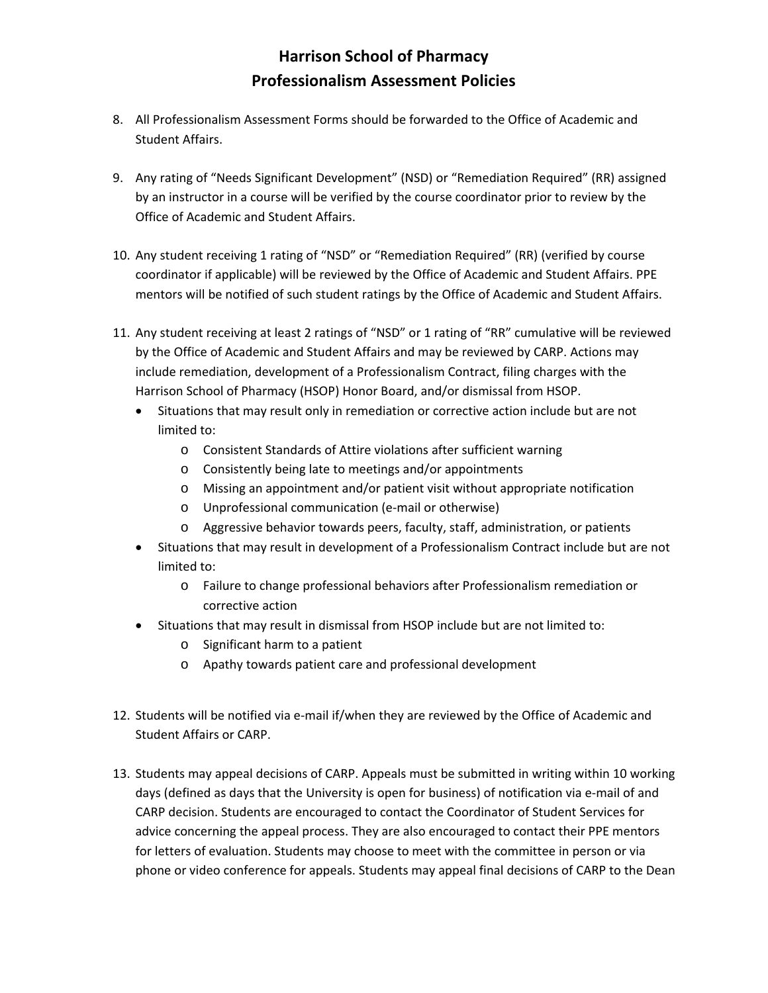## **Harrison School of Pharmacy Professionalism Assessment Policies**

- 8. All Professionalism Assessment Forms should be forwarded to the Office of Academic and Student Affairs.
- 9. Any rating of "Needs Significant Development" (NSD) or "Remediation Required" (RR) assigned by an instructor in a course will be verified by the course coordinator prior to review by the Office of Academic and Student Affairs.
- 10. Any student receiving 1 rating of "NSD" or "Remediation Required" (RR) (verified by course coordinator if applicable) will be reviewed by the Office of Academic and Student Affairs. PPE mentors will be notified of such student ratings by the Office of Academic and Student Affairs.
- 11. Any student receiving at least 2 ratings of "NSD" or 1 rating of "RR" cumulative will be reviewed by the Office of Academic and Student Affairs and may be reviewed by CARP. Actions may include remediation, development of a Professionalism Contract, filing charges with the Harrison School of Pharmacy (HSOP) Honor Board, and/or dismissal from HSOP.
	- Situations that may result only in remediation or corrective action include but are not limited to:
		- o Consistent Standards of Attire violations after sufficient warning
		- o Consistently being late to meetings and/or appointments
		- o Missing an appointment and/or patient visit without appropriate notification
		- o Unprofessional communication (e‐mail or otherwise)
		- o Aggressive behavior towards peers, faculty, staff, administration, or patients
	- Situations that may result in development of a Professionalism Contract include but are not limited to:
		- o Failure to change professional behaviors after Professionalism remediation or corrective action
	- Situations that may result in dismissal from HSOP include but are not limited to:
		- o Significant harm to a patient
		- o Apathy towards patient care and professional development
- 12. Students will be notified via e‐mail if/when they are reviewed by the Office of Academic and Student Affairs or CARP.
- 13. Students may appeal decisions of CARP. Appeals must be submitted in writing within 10 working days (defined as days that the University is open for business) of notification via e-mail of and CARP decision. Students are encouraged to contact the Coordinator of Student Services for advice concerning the appeal process. They are also encouraged to contact their PPE mentors for letters of evaluation. Students may choose to meet with the committee in person or via phone or video conference for appeals. Students may appeal final decisions of CARP to the Dean